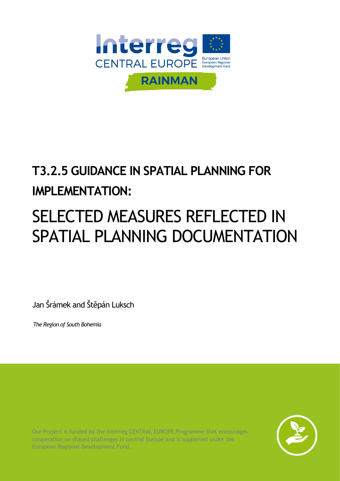

## **T3.2.5 GUIDANCE IN SPATIAL PLANNING FOR IMPLEMENTATION:**

# SELECTED MEASURES REFLECTED IN SPATIAL PLANNING DOCUMENTATION

Jan Šrámek and Štěpán Luksch

*The Region of South Bohemia*

Our Project is funded by the Interreg CENTRAL EUROPE Programme that encourages cooperation on shared challenges in central Europe and is supported under the European Regional Development Fund.

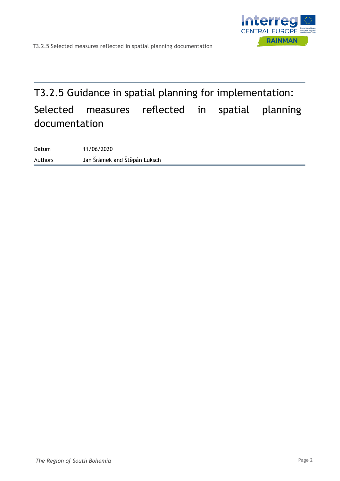

## T3.2.5 Guidance in spatial planning for implementation: Selected measures reflected in spatial planning documentation

Datum 11/06/2020 Authors Jan Šrámek and Štěpán Luksch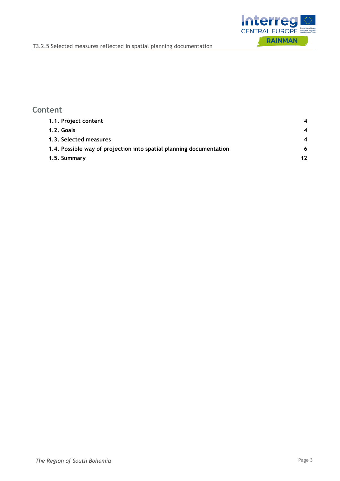

#### **Content**

| 1.1. Project content                                                |    |
|---------------------------------------------------------------------|----|
| 1.2. Goals                                                          |    |
| 1.3. Selected measures                                              |    |
| 1.4. Possible way of projection into spatial planning documentation | 6  |
| 1.5. Summary                                                        | 12 |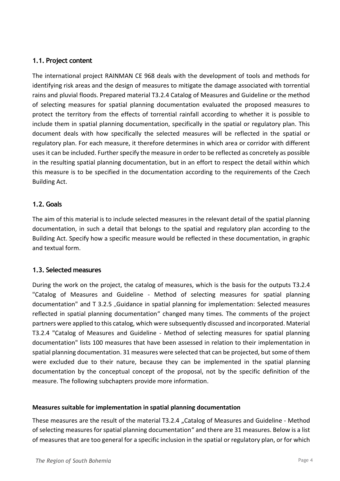#### <span id="page-3-0"></span>**1.1. Project content**

The international project RAINMAN CE 968 deals with the development of tools and methods for identifying risk areas and the design of measures to mitigate the damage associated with torrential rains and pluvial floods. Prepared material T3.2.4 Catalog of Measures and Guideline or the method of selecting measures for spatial planning documentation evaluated the proposed measures to protect the territory from the effects of torrential rainfall according to whether it is possible to include them in spatial planning documentation, specifically in the spatial or regulatory plan. This document deals with how specifically the selected measures will be reflected in the spatial or regulatory plan. For each measure, it therefore determines in which area or corridor with different uses it can be included. Further specify the measure in order to be reflected as concretely as possible in the resulting spatial planning documentation, but in an effort to respect the detail within which this measure is to be specified in the documentation according to the requirements of the Czech Building Act.

#### <span id="page-3-1"></span>**1.2. Goals**

The aim of this material is to include selected measures in the relevant detail of the spatial planning documentation, in such a detail that belongs to the spatial and regulatory plan according to the Building Act. Specify how a specific measure would be reflected in these documentation, in graphic and textual form.

#### <span id="page-3-2"></span>**1.3. Selected measures**

During the work on the project, the catalog of measures, which is the basis for the outputs T3.2.4 "Catalog of Measures and Guideline - Method of selecting measures for spatial planning documentation" and T 3.2.5 "Guidance in spatial planning for implementation: Selected measures reflected in spatial planning documentation" changed many times. The comments of the project partners were applied to this catalog, which were subsequently discussed and incorporated. Material T3.2.4 "Catalog of Measures and Guideline - Method of selecting measures for spatial planning documentation" lists 100 measures that have been assessed in relation to their implementation in spatial planning documentation. 31 measures were selected that can be projected, but some of them were excluded due to their nature, because they can be implemented in the spatial planning documentation by the conceptual concept of the proposal, not by the specific definition of the measure. The following subchapters provide more information.

#### **Measures suitable for implementation in spatial planning documentation**

These measures are the result of the material T3.2.4 "Catalog of Measures and Guideline - Method of selecting measures for spatial planning documentation" and there are 31 measures. Below is a list of measures that are too general for a specific inclusion in the spatial or regulatory plan, or for which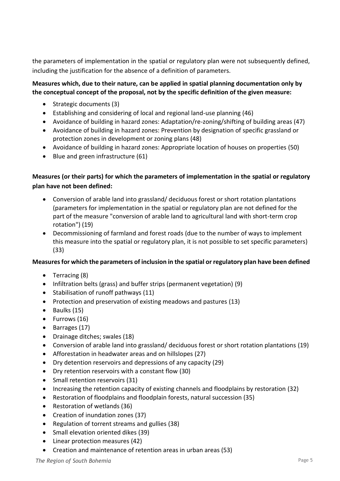the parameters of implementation in the spatial or regulatory plan were not subsequently defined, including the justification for the absence of a definition of parameters.

#### **Measures which, due to their nature, can be applied in spatial planning documentation only by the conceptual concept of the proposal, not by the specific definition of the given measure:**

- Strategic documents (3)
- Establishing and considering of local and regional land-use planning (46)
- Avoidance of building in hazard zones: Adaptation/re-zoning/shifting of building areas (47)
- Avoidance of building in hazard zones: Prevention by designation of specific grassland or protection zones in development or zoning plans (48)
- Avoidance of building in hazard zones: Appropriate location of houses on properties (50)
- Blue and green infrastructure (61)

#### **Measures (or their parts) for which the parameters of implementation in the spatial or regulatory plan have not been defined:**

- Conversion of arable land into grassland/ deciduous forest or short rotation plantations (parameters for implementation in the spatial or regulatory plan are not defined for the part of the measure "conversion of arable land to agricultural land with short-term crop rotation") (19)
- Decommissioning of farmland and forest roads (due to the number of ways to implement this measure into the spatial or regulatory plan, it is not possible to set specific parameters) (33)

#### **Measures for which the parameters of inclusion in the spatial or regulatory plan have been defined**

- Terracing (8)
- Infiltration belts (grass) and buffer strips (permanent vegetation) (9)
- Stabilisation of runoff pathways (11)
- Protection and preservation of existing meadows and pastures (13)
- Baulks (15)
- Furrows (16)
- Barrages (17)
- Drainage ditches; swales (18)
- Conversion of arable land into grassland/ deciduous forest or short rotation plantations (19)
- Afforestation in headwater areas and on hillslopes (27)
- Dry detention reservoirs and depressions of any capacity (29)
- Dry retention reservoirs with a constant flow (30)
- Small retention reservoirs (31)
- Increasing the retention capacity of existing channels and floodplains by restoration (32)
- Restoration of floodplains and floodplain forests, natural succession (35)
- Restoration of wetlands (36)
- Creation of inundation zones (37)
- Regulation of torrent streams and gullies (38)
- Small elevation oriented dikes (39)
- Linear protection measures (42)
- Creation and maintenance of retention areas in urban areas (53)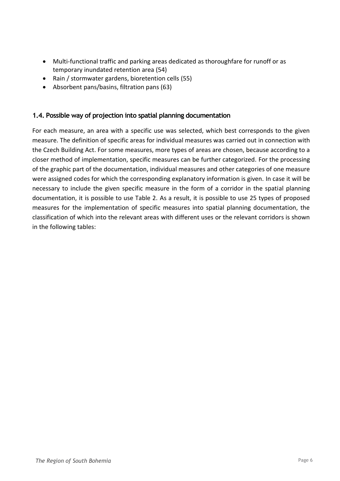- Multi-functional traffic and parking areas dedicated as thoroughfare for runoff or as temporary inundated retention area (54)
- Rain / stormwater gardens, bioretention cells (55)
- Absorbent pans/basins, filtration pans (63)

#### <span id="page-5-0"></span>**1.4. Possible way of projection into spatial planning documentation**

For each measure, an area with a specific use was selected, which best corresponds to the given measure. The definition of specific areas for individual measures was carried out in connection with the Czech Building Act. For some measures, more types of areas are chosen, because according to a closer method of implementation, specific measures can be further categorized. For the processing of the graphic part of the documentation, individual measures and other categories of one measure were assigned codes for which the corresponding explanatory information is given. In case it will be necessary to include the given specific measure in the form of a corridor in the spatial planning documentation, it is possible to use Table 2. As a result, it is possible to use 25 types of proposed measures for the implementation of specific measures into spatial planning documentation, the classification of which into the relevant areas with different uses or the relevant corridors is shown in the following tables: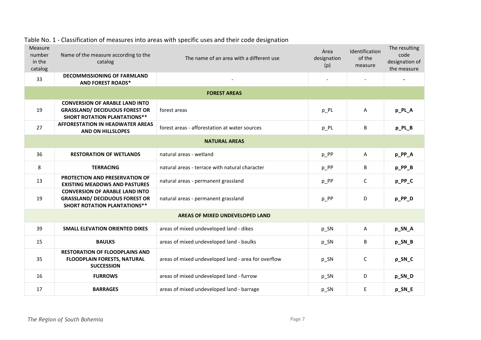| Measure<br>number<br>in the<br>catalog | Name of the measure according to the<br>catalog                                                                       | The name of an area with a different use            | Area<br>designation<br>(p) | Identification<br>of the<br>measure | The resulting<br>code<br>designation of<br>the measure |
|----------------------------------------|-----------------------------------------------------------------------------------------------------------------------|-----------------------------------------------------|----------------------------|-------------------------------------|--------------------------------------------------------|
| 33                                     | <b>DECOMMISSIONING OF FARMLAND</b><br><b>AND FOREST ROADS*</b>                                                        |                                                     |                            |                                     |                                                        |
|                                        |                                                                                                                       | <b>FOREST AREAS</b>                                 |                            |                                     |                                                        |
| 19                                     | <b>CONVERSION OF ARABLE LAND INTO</b><br><b>GRASSLAND/ DECIDUOUS FOREST OR</b><br><b>SHORT ROTATION PLANTATIONS**</b> | forest areas                                        | $p_PL$                     | A                                   | p_PL_A                                                 |
| 27                                     | <b>AFFORESTATION IN HEADWATER AREAS</b><br>AND ON HILLSLOPES                                                          | forest areas - afforestation at water sources       | $p_PL$                     | B                                   | p_PL_B                                                 |
|                                        |                                                                                                                       | <b>NATURAL AREAS</b>                                |                            |                                     |                                                        |
| 36                                     | <b>RESTORATION OF WETLANDS</b>                                                                                        | natural areas - wetland                             | p_PP                       | $\mathsf{A}$                        | p_PP_A                                                 |
| 8                                      | <b>TERRACING</b>                                                                                                      | natural areas - terrace with natural character      | p_PP                       | B                                   | p_PP_B                                                 |
| 13                                     | PROTECTION AND PRESERVATION OF<br><b>EXISTING MEADOWS AND PASTURES</b>                                                | natural areas - permanent grassland                 | $p_P$                      | C                                   | p_PP_C                                                 |
| 19                                     | <b>CONVERSION OF ARABLE LAND INTO</b><br><b>GRASSLAND/ DECIDUOUS FOREST OR</b><br><b>SHORT ROTATION PLANTATIONS**</b> | natural areas - permanent grassland                 | p_PP                       | D                                   | p_PP_D                                                 |
| AREAS OF MIXED UNDEVELOPED LAND        |                                                                                                                       |                                                     |                            |                                     |                                                        |
| 39                                     | <b>SMALL ELEVATION ORIENTED DIKES</b>                                                                                 | areas of mixed undeveloped land - dikes             | p_SN                       | $\mathsf{A}$                        | p_SN_A                                                 |
| 15                                     | <b>BAULKS</b>                                                                                                         | areas of mixed undeveloped land - baulks            | p_SN                       | B                                   | p_SN_B                                                 |
| 35                                     | <b>RESTORATION OF FLOODPLAINS AND</b><br><b>FLOODPLAIN FORESTS, NATURAL</b><br><b>SUCCESSION</b>                      | areas of mixed undeveloped land - area for overflow | p_SN                       | C                                   | p_SN_C                                                 |
| 16                                     | <b>FURROWS</b>                                                                                                        | areas of mixed undeveloped land - furrow            | p_SN                       | D                                   | p_SN_D                                                 |
| 17                                     | <b>BARRAGES</b>                                                                                                       | areas of mixed undeveloped land - barrage           | p_SN                       | E                                   | p_SN_E                                                 |

#### Table No. 1 - Classification of measures into areas with specific uses and their code designation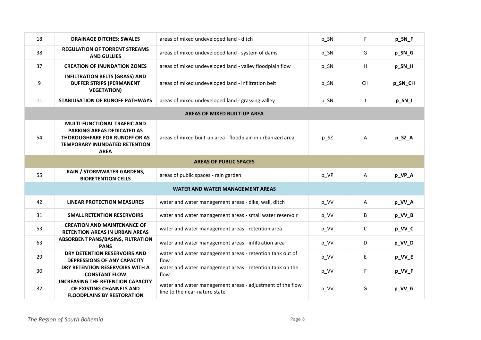| 18 | <b>DRAINAGE DITCHES; SWALES</b>                                                                                                                                         | areas of mixed undeveloped land - ditch                                                    | p_SN     | F           | p_SN_F  |
|----|-------------------------------------------------------------------------------------------------------------------------------------------------------------------------|--------------------------------------------------------------------------------------------|----------|-------------|---------|
| 38 | <b>REGULATION OF TORRENT STREAMS</b><br><b>AND GULLIES</b>                                                                                                              | areas of mixed undeveloped land - system of dams                                           | $p_{SN}$ | G           | p_SN_G  |
| 37 | <b>CREATION OF INUNDATION ZONES</b>                                                                                                                                     | areas of mixed undeveloped land - valley floodplain flow                                   | p_SN     | н           | p_SN_H  |
| 9  | <b>INFILTRATION BELTS (GRASS) AND</b><br><b>BUFFER STRIPS (PERMANENT</b><br><b>VEGETATION)</b>                                                                          | areas of mixed undeveloped land - infiltration belt                                        | p_SN     | <b>CH</b>   | p_SN_CH |
| 11 | <b>STABILISATION OF RUNOFF PATHWAYS</b>                                                                                                                                 | areas of mixed undeveloped land - grassing valley                                          | p_SN     |             | p_SN_I  |
|    |                                                                                                                                                                         | <b>AREAS OF MIXED BUILT-UP AREA</b>                                                        |          |             |         |
| 54 | <b>MULTI-FUNCTIONAL TRAFFIC AND</b><br><b>PARKING AREAS DEDICATED AS</b><br><b>THOROUGHFARE FOR RUNOFF OR AS</b><br><b>TEMPORARY INUNDATED RETENTION</b><br><b>AREA</b> | areas of mixed built-up area - floodplain in urbanized area                                | p_SZ     | A           | p_SZ_A  |
|    |                                                                                                                                                                         | <b>AREAS OF PUBLIC SPACES</b>                                                              |          |             |         |
| 55 | RAIN / STORMWATER GARDENS,<br><b>BIORETENTION CELLS</b>                                                                                                                 | areas of public spaces - rain garden                                                       | p_VP     | Α           | p_VP_A  |
|    |                                                                                                                                                                         | <b>WATER AND WATER MANAGEMENT AREAS</b>                                                    |          |             |         |
| 42 | <b>LINEAR PROTECTION MEASURES</b>                                                                                                                                       | water and water management areas - dike, wall, ditch                                       | p_VV     | A           | p_VV_A  |
| 31 | <b>SMALL RETENTION RESERVOIRS</b>                                                                                                                                       | water and water management areas - small water reservoir                                   | p_VV     | B           | p_VV_B  |
| 53 | <b>CREATION AND MAINTENANCE OF</b><br><b>RETENTION AREAS IN URBAN AREAS</b>                                                                                             | water and water management areas - retention area                                          | p_VV     | $\mathsf C$ | p_VV_C  |
| 63 | <b>ABSORBENT PANS/BASINS, FILTRATION</b><br><b>PANS</b>                                                                                                                 | water and water management areas - infiltration area                                       | p_VV     | D           | p_VV_D  |
| 29 | DRY DETENTION RESERVOIRS AND<br><b>DEPRESSIONS OF ANY CAPACITY</b>                                                                                                      | water and water management areas - retention tank out of<br>flow                           | p_VV     | E           | p_VV_E  |
| 30 | DRY RETENTION RESERVOIRS WITH A<br><b>CONSTANT FLOW</b>                                                                                                                 | water and water management areas - retention tank on the<br>flow                           | p_VV     | F           | p_VV_F  |
| 32 | <b>INCREASING THE RETENTION CAPACITY</b><br>OF EXISTING CHANNELS AND<br><b>FLOODPLAINS BY RESTORATION</b>                                                               | water and water management areas - adjustment of the flow<br>line to the near-nature state | p_VV     | G           | p_VV_G  |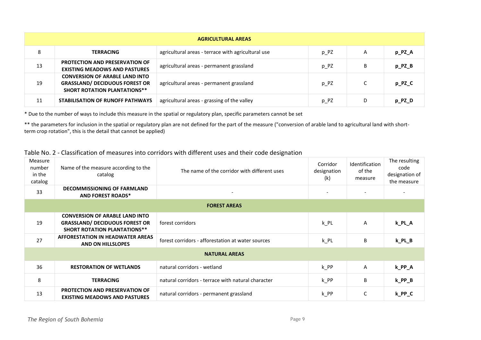| <b>AGRICULTURAL AREAS</b> |                                                                                                                       |                                                    |      |   |              |
|---------------------------|-----------------------------------------------------------------------------------------------------------------------|----------------------------------------------------|------|---|--------------|
| 8                         | <b>TERRACING</b>                                                                                                      | agricultural areas - terrace with agricultural use | p PZ | A | p_PZ_A       |
| 13                        | <b>PROTECTION AND PRESERVATION OF</b><br><b>EXISTING MEADOWS AND PASTURES</b>                                         | agricultural areas - permanent grassland           | p_PZ | B | $p$ $PZ$ $B$ |
| 19                        | <b>CONVERSION OF ARABLE LAND INTO</b><br><b>GRASSLAND/ DECIDUOUS FOREST OR</b><br><b>SHORT ROTATION PLANTATIONS**</b> | agricultural areas - permanent grassland           | p_PZ |   | p_PZ_C       |
| 11                        | STABILISATION OF RUNOFF PATHWAYS                                                                                      | agricultural areas - grassing of the valley        | p PZ | D | $p_PZ_D$     |

\* Due to the number of ways to include this measure in the spatial or regulatory plan, specific parameters cannot be set

\*\* the parameters for inclusion in the spatial or regulatory plan are not defined for the part of the measure ("conversion of arable land to agricultural land with shortterm crop rotation", this is the detail that cannot be applied)

#### Table No. 2 - Classification of measures into corridors with different uses and their code designation

| Measure<br>number<br>in the<br>catalog | Name of the measure according to the<br>catalog                                                                       | The name of the corridor with different uses       | Corridor<br>designation<br>(k) | Identification<br>of the<br>measure | The resulting<br>code<br>designation of<br>the measure |
|----------------------------------------|-----------------------------------------------------------------------------------------------------------------------|----------------------------------------------------|--------------------------------|-------------------------------------|--------------------------------------------------------|
| 33                                     | <b>DECOMMISSIONING OF FARMLAND</b><br><b>AND FOREST ROADS*</b>                                                        |                                                    | $\overline{\phantom{a}}$       |                                     |                                                        |
|                                        |                                                                                                                       | <b>FOREST AREAS</b>                                |                                |                                     |                                                        |
| 19                                     | <b>CONVERSION OF ARABLE LAND INTO</b><br><b>GRASSLAND/ DECIDUOUS FOREST OR</b><br><b>SHORT ROTATION PLANTATIONS**</b> | forest corridors                                   | $k$ PL                         | A                                   | k_PL_A                                                 |
| 27                                     | AFFORESTATION IN HEADWATER AREAS<br><b>AND ON HILLSLOPES</b>                                                          | forest corridors - afforestation at water sources  | $k$ PL                         | B                                   | $k$ PL $B$                                             |
| <b>NATURAL AREAS</b>                   |                                                                                                                       |                                                    |                                |                                     |                                                        |
| 36                                     | <b>RESTORATION OF WETLANDS</b>                                                                                        | natural corridors - wetland                        | $k$ PP                         | $\mathsf{A}$                        | k_PP_A                                                 |
| 8                                      | <b>TERRACING</b>                                                                                                      | natural corridors - terrace with natural character | $k$ PP                         | B                                   | $k$ PP $B$                                             |
| 13                                     | <b>PROTECTION AND PRESERVATION OF</b><br><b>EXISTING MEADOWS AND PASTURES</b>                                         | natural corridors - permanent grassland            | $k$ PP                         | C                                   | $k$ PP $C$                                             |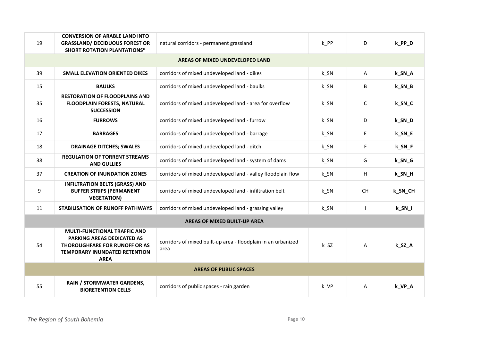| 19                            | <b>CONVERSION OF ARABLE LAND INTO</b><br><b>GRASSLAND/ DECIDUOUS FOREST OR</b>                                                                                          | natural corridors - permanent grassland                               | k PP               | D.           | k_PP_D                |
|-------------------------------|-------------------------------------------------------------------------------------------------------------------------------------------------------------------------|-----------------------------------------------------------------------|--------------------|--------------|-----------------------|
|                               | <b>SHORT ROTATION PLANTATIONS*</b>                                                                                                                                      |                                                                       |                    |              |                       |
|                               |                                                                                                                                                                         | AREAS OF MIXED UNDEVELOPED LAND                                       |                    |              |                       |
| 39                            | <b>SMALL ELEVATION ORIENTED DIKES</b>                                                                                                                                   | corridors of mixed undeveloped land - dikes                           | $k$ _SN            | A            | k_SN_A                |
| 15                            | <b>BAULKS</b>                                                                                                                                                           | corridors of mixed undeveloped land - baulks                          | $k$ _SN            | B            | $k$ <sub>_</sub> SN_B |
| 35                            | <b>RESTORATION OF FLOODPLAINS AND</b><br><b>FLOODPLAIN FORESTS, NATURAL</b><br><b>SUCCESSION</b>                                                                        | corridors of mixed undeveloped land - area for overflow               | $k$ <sub>_SN</sub> | C            | k_SN_C                |
| 16                            | <b>FURROWS</b>                                                                                                                                                          | corridors of mixed undeveloped land - furrow                          | $k$ <sub>_SN</sub> | D            | k_SN_D                |
| 17                            | <b>BARRAGES</b>                                                                                                                                                         | corridors of mixed undeveloped land - barrage                         | $k$ <sub>_SN</sub> | E.           | k_SN_E                |
| 18                            | <b>DRAINAGE DITCHES; SWALES</b>                                                                                                                                         | corridors of mixed undeveloped land - ditch                           | $k$ <sub>_SN</sub> | F.           | k_SN_F                |
| 38                            | <b>REGULATION OF TORRENT STREAMS</b><br><b>AND GULLIES</b>                                                                                                              | corridors of mixed undeveloped land - system of dams                  | $k$ <sub>_SN</sub> | G            | $k$ <sub>_SN_G</sub>  |
| 37                            | <b>CREATION OF INUNDATION ZONES</b>                                                                                                                                     | corridors of mixed undeveloped land - valley floodplain flow          | $k$ _SN            | H.           | k_SN_H                |
| 9                             | <b>INFILTRATION BELTS (GRASS) AND</b><br><b>BUFFER STRIPS (PERMANENT</b><br><b>VEGETATION)</b>                                                                          | corridors of mixed undeveloped land - infiltration belt               | $k$ _SN            | <b>CH</b>    | k_SN_CH               |
| 11                            | <b>STABILISATION OF RUNOFF PATHWAYS</b>                                                                                                                                 | corridors of mixed undeveloped land - grassing valley                 | k SN               | $\mathbf{I}$ | $k$ <sub>_SN_I</sub>  |
| AREAS OF MIXED BUILT-UP AREA  |                                                                                                                                                                         |                                                                       |                    |              |                       |
| 54                            | <b>MULTI-FUNCTIONAL TRAFFIC AND</b><br><b>PARKING AREAS DEDICATED AS</b><br><b>THOROUGHFARE FOR RUNOFF OR AS</b><br><b>TEMPORARY INUNDATED RETENTION</b><br><b>AREA</b> | corridors of mixed built-up area - floodplain in an urbanized<br>area | k SZ               | A            | k_SZ_A                |
| <b>AREAS OF PUBLIC SPACES</b> |                                                                                                                                                                         |                                                                       |                    |              |                       |
| 55                            | RAIN / STORMWATER GARDENS,<br><b>BIORETENTION CELLS</b>                                                                                                                 | corridors of public spaces - rain garden                              | k_VP               | A            | k_VP_A                |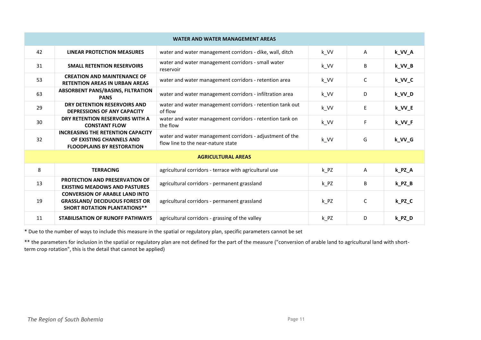| <b>WATER AND WATER MANAGEMENT AREAS</b> |                                                                                                                       |                                                                                                |          |    |          |
|-----------------------------------------|-----------------------------------------------------------------------------------------------------------------------|------------------------------------------------------------------------------------------------|----------|----|----------|
| 42                                      | <b>LINEAR PROTECTION MEASURES</b>                                                                                     | water and water management corridors - dike, wall, ditch                                       | k_VV     | A  | k_VV_A   |
| 31                                      | <b>SMALL RETENTION RESERVOIRS</b>                                                                                     | water and water management corridors - small water<br>reservoir                                | k_VV     | B  | k_VV_B   |
| 53                                      | <b>CREATION AND MAINTENANCE OF</b><br><b>RETENTION AREAS IN URBAN AREAS</b>                                           | water and water management corridors - retention area                                          | k_VV     | C  | k_VV_C   |
| 63                                      | <b>ABSORBENT PANS/BASINS, FILTRATION</b><br><b>PANS</b>                                                               | water and water management corridors - infiltration area                                       | k_VV     | D  | k_VV_D   |
| 29                                      | DRY DETENTION RESERVOIRS AND<br><b>DEPRESSIONS OF ANY CAPACITY</b>                                                    | water and water management corridors - retention tank out<br>of flow                           | k_VV     | E. | k_VV_E   |
| 30                                      | DRY RETENTION RESERVOIRS WITH A<br><b>CONSTANT FLOW</b>                                                               | water and water management corridors - retention tank on<br>the flow                           | k_VV     | F. | k_VV_F   |
| 32                                      | <b>INCREASING THE RETENTION CAPACITY</b><br>OF EXISTING CHANNELS AND<br><b>FLOODPLAINS BY RESTORATION</b>             | water and water management corridors - adjustment of the<br>flow line to the near-nature state | k_VV     | G  | k_VV_G   |
| <b>AGRICULTURAL AREAS</b>               |                                                                                                                       |                                                                                                |          |    |          |
| 8                                       | <b>TERRACING</b>                                                                                                      | agricultural corridors - terrace with agricultural use                                         | $k$ $PZ$ | A  | k_PZ_A   |
| 13                                      | <b>PROTECTION AND PRESERVATION OF</b><br><b>EXISTING MEADOWS AND PASTURES</b>                                         | agricultural corridors - permanent grassland                                                   | $k$ $PZ$ | B  | $k_PZ_B$ |
| 19                                      | <b>CONVERSION OF ARABLE LAND INTO</b><br><b>GRASSLAND/ DECIDUOUS FOREST OR</b><br><b>SHORT ROTATION PLANTATIONS**</b> | agricultural corridors - permanent grassland                                                   | k PZ     | C  | $k_PZ_C$ |
| 11                                      | <b>STABILISATION OF RUNOFF PATHWAYS</b>                                                                               | agricultural corridors - grassing of the valley                                                | $k$ $PZ$ | D  | k_PZ_D   |

\* Due to the number of ways to include this measure in the spatial or regulatory plan, specific parameters cannot be set

\*\* the parameters for inclusion in the spatial or regulatory plan are not defined for the part of the measure ("conversion of arable land to agricultural land with shortterm crop rotation", this is the detail that cannot be applied)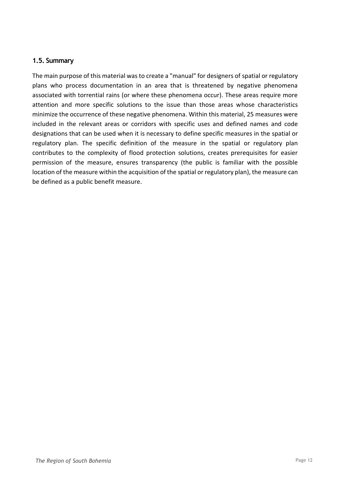#### <span id="page-11-0"></span>**1.5. Summary**

The main purpose of this material was to create a "manual" for designers of spatial or regulatory plans who process documentation in an area that is threatened by negative phenomena associated with torrential rains (or where these phenomena occur). These areas require more attention and more specific solutions to the issue than those areas whose characteristics minimize the occurrence of these negative phenomena. Within this material, 25 measures were included in the relevant areas or corridors with specific uses and defined names and code designations that can be used when it is necessary to define specific measures in the spatial or regulatory plan. The specific definition of the measure in the spatial or regulatory plan contributes to the complexity of flood protection solutions, creates prerequisites for easier permission of the measure, ensures transparency (the public is familiar with the possible location of the measure within the acquisition of the spatial or regulatory plan), the measure can be defined as a public benefit measure.